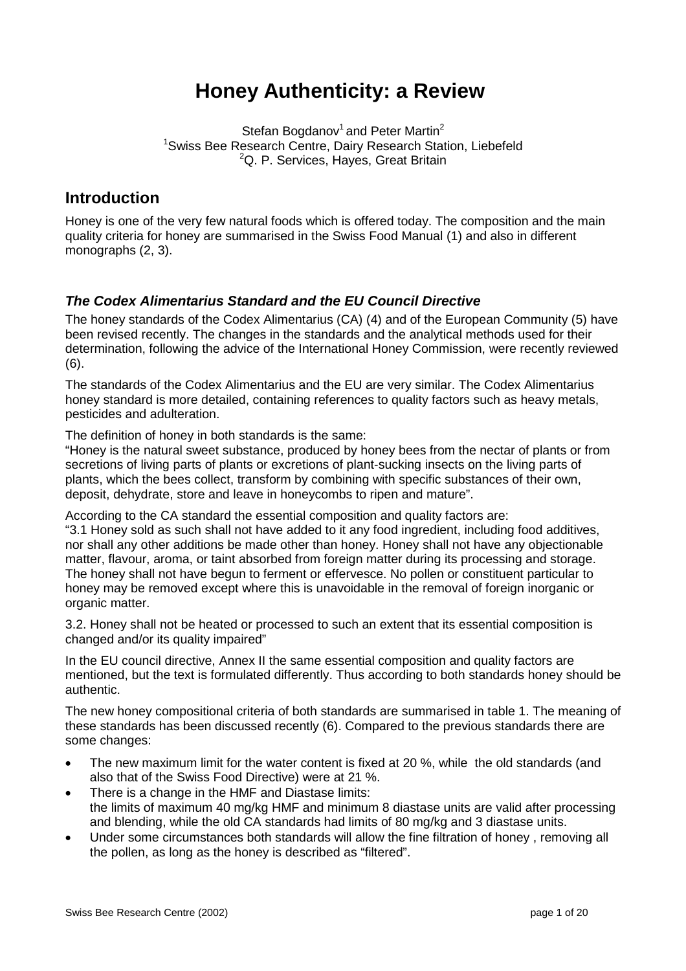# **Honey Authenticity: a Review**

Stefan Bogdanov<sup>1</sup> and Peter Martin<sup>2</sup> <sup>1</sup>Swiss Bee Research Centre, Dairy Research Station, Liebefeld <sup>2</sup>Q. P. Services, Hayes, Great Britain

## **Introduction**

Honey is one of the very few natural foods which is offered today. The composition and the main quality criteria for honey are summarised in the Swiss Food Manual (1) and also in different monographs (2, 3).

## *The Codex Alimentarius Standard and the EU Council Directive*

The honey standards of the Codex Alimentarius (CA) (4) and of the European Community (5) have been revised recently. The changes in the standards and the analytical methods used for their determination, following the advice of the International Honey Commission, were recently reviewed (6).

The standards of the Codex Alimentarius and the EU are very similar. The Codex Alimentarius honey standard is more detailed, containing references to quality factors such as heavy metals, pesticides and adulteration.

The definition of honey in both standards is the same:

"Honey is the natural sweet substance, produced by honey bees from the nectar of plants or from secretions of living parts of plants or excretions of plant-sucking insects on the living parts of plants, which the bees collect, transform by combining with specific substances of their own, deposit, dehydrate, store and leave in honeycombs to ripen and mature".

According to the CA standard the essential composition and quality factors are:

"3.1 Honey sold as such shall not have added to it any food ingredient, including food additives, nor shall any other additions be made other than honey. Honey shall not have any objectionable matter, flavour, aroma, or taint absorbed from foreign matter during its processing and storage. The honey shall not have begun to ferment or effervesce. No pollen or constituent particular to honey may be removed except where this is unavoidable in the removal of foreign inorganic or organic matter.

3.2. Honey shall not be heated or processed to such an extent that its essential composition is changed and/or its quality impaired"

In the EU council directive, Annex II the same essential composition and quality factors are mentioned, but the text is formulated differently. Thus according to both standards honey should be authentic.

The new honey compositional criteria of both standards are summarised in table 1. The meaning of these standards has been discussed recently (6). Compared to the previous standards there are some changes:

- The new maximum limit for the water content is fixed at 20 %, while the old standards (and also that of the Swiss Food Directive) were at 21 %.
- There is a change in the HMF and Diastase limits: the limits of maximum 40 mg/kg HMF and minimum 8 diastase units are valid after processing and blending, while the old CA standards had limits of 80 mg/kg and 3 diastase units.
- Under some circumstances both standards will allow the fine filtration of honey , removing all the pollen, as long as the honey is described as "filtered".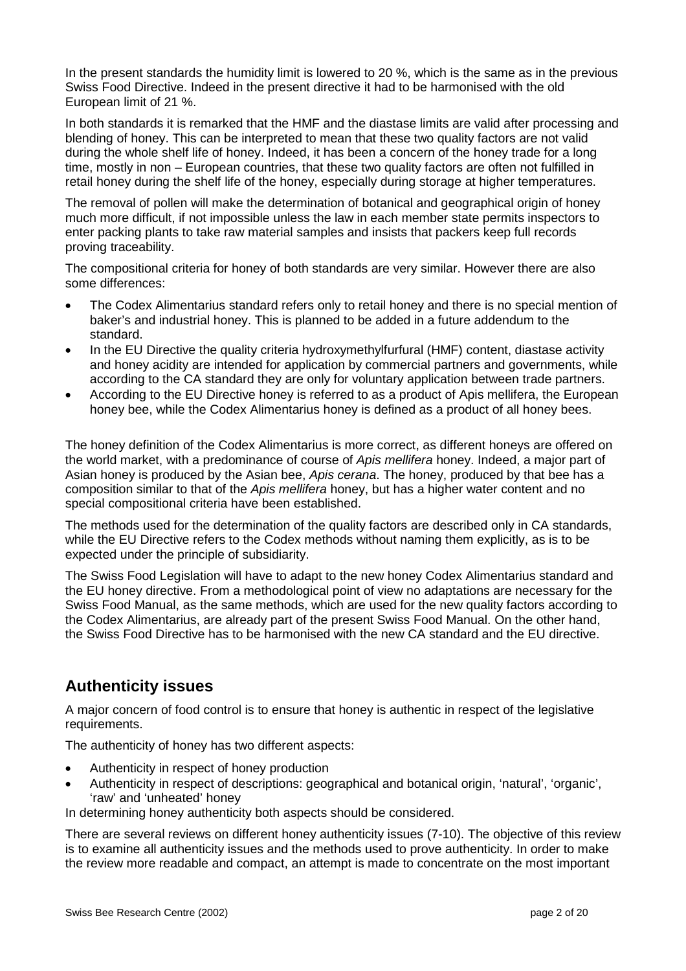In the present standards the humidity limit is lowered to 20 %, which is the same as in the previous Swiss Food Directive. Indeed in the present directive it had to be harmonised with the old European limit of 21 %.

In both standards it is remarked that the HMF and the diastase limits are valid after processing and blending of honey. This can be interpreted to mean that these two quality factors are not valid during the whole shelf life of honey. Indeed, it has been a concern of the honey trade for a long time, mostly in non – European countries, that these two quality factors are often not fulfilled in retail honey during the shelf life of the honey, especially during storage at higher temperatures.

The removal of pollen will make the determination of botanical and geographical origin of honey much more difficult, if not impossible unless the law in each member state permits inspectors to enter packing plants to take raw material samples and insists that packers keep full records proving traceability.

The compositional criteria for honey of both standards are very similar. However there are also some differences:

- The Codex Alimentarius standard refers only to retail honey and there is no special mention of baker's and industrial honey. This is planned to be added in a future addendum to the standard.
- In the EU Directive the quality criteria hydroxymethylfurfural (HMF) content, diastase activity and honey acidity are intended for application by commercial partners and governments, while according to the CA standard they are only for voluntary application between trade partners.
- According to the EU Directive honey is referred to as a product of Apis mellifera, the European honey bee, while the Codex Alimentarius honey is defined as a product of all honey bees.

The honey definition of the Codex Alimentarius is more correct, as different honeys are offered on the world market, with a predominance of course of *Apis mellifera* honey. Indeed, a major part of Asian honey is produced by the Asian bee, *Apis cerana*. The honey, produced by that bee has a composition similar to that of the *Apis mellifera* honey, but has a higher water content and no special compositional criteria have been established.

The methods used for the determination of the quality factors are described only in CA standards, while the EU Directive refers to the Codex methods without naming them explicitly, as is to be expected under the principle of subsidiarity.

The Swiss Food Legislation will have to adapt to the new honey Codex Alimentarius standard and the EU honey directive. From a methodological point of view no adaptations are necessary for the Swiss Food Manual, as the same methods, which are used for the new quality factors according to the Codex Alimentarius, are already part of the present Swiss Food Manual. On the other hand, the Swiss Food Directive has to be harmonised with the new CA standard and the EU directive.

## **Authenticity issues**

A major concern of food control is to ensure that honey is authentic in respect of the legislative requirements.

The authenticity of honey has two different aspects:

- Authenticity in respect of honey production
- Authenticity in respect of descriptions: geographical and botanical origin, 'natural', 'organic', 'raw' and 'unheated' honey

In determining honey authenticity both aspects should be considered.

There are several reviews on different honey authenticity issues (7-10). The objective of this review is to examine all authenticity issues and the methods used to prove authenticity. In order to make the review more readable and compact, an attempt is made to concentrate on the most important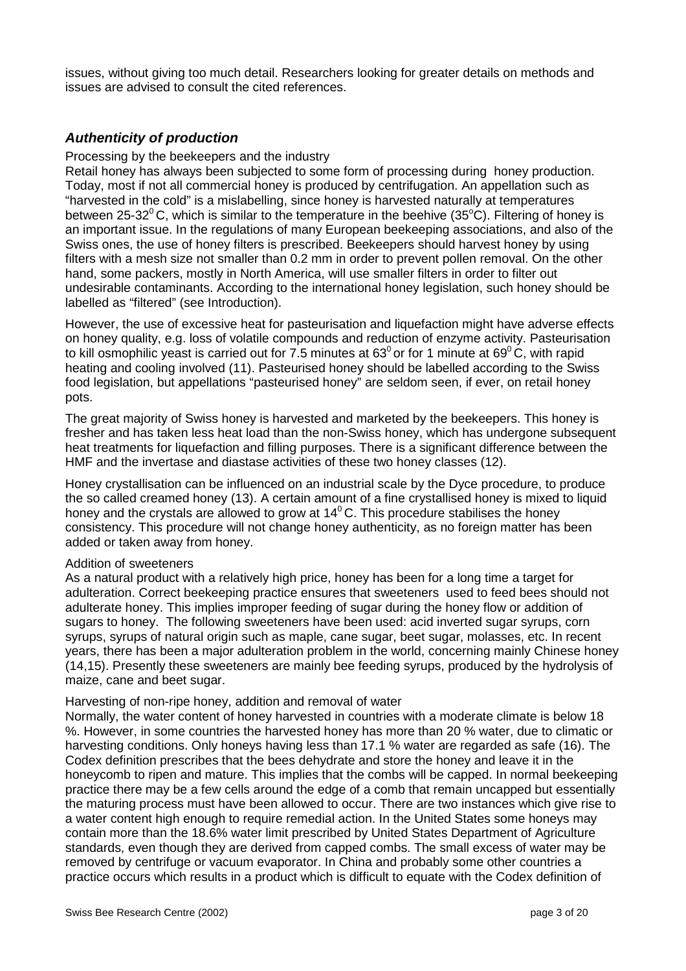issues, without giving too much detail. Researchers looking for greater details on methods and issues are advised to consult the cited references.

### *Authenticity of production*

Processing by the beekeepers and the industry

Retail honey has always been subjected to some form of processing during honey production. Today, most if not all commercial honey is produced by centrifugation. An appellation such as "harvested in the cold" is a mislabelling, since honey is harvested naturally at temperatures between 25-32<sup>0</sup>C, which is similar to the temperature in the beehive (35°C). Filtering of honey is an important issue. In the regulations of many European beekeeping associations, and also of the Swiss ones, the use of honey filters is prescribed. Beekeepers should harvest honey by using filters with a mesh size not smaller than 0.2 mm in order to prevent pollen removal. On the other hand, some packers, mostly in North America, will use smaller filters in order to filter out undesirable contaminants. According to the international honey legislation, such honey should be labelled as "filtered" (see Introduction).

However, the use of excessive heat for pasteurisation and liquefaction might have adverse effects on honey quality, e.g. loss of volatile compounds and reduction of enzyme activity. Pasteurisation to kill osmophilic yeast is carried out for 7.5 minutes at  $63^{\circ}$  or for 1 minute at  $69^{\circ}$ C, with rapid heating and cooling involved (11). Pasteurised honey should be labelled according to the Swiss food legislation, but appellations "pasteurised honey" are seldom seen, if ever, on retail honey pots.

The great majority of Swiss honey is harvested and marketed by the beekeepers. This honey is fresher and has taken less heat load than the non-Swiss honey, which has undergone subsequent heat treatments for liquefaction and filling purposes. There is a significant difference between the HMF and the invertase and diastase activities of these two honey classes (12).

Honey crystallisation can be influenced on an industrial scale by the Dyce procedure, to produce the so called creamed honey (13). A certain amount of a fine crystallised honey is mixed to liquid honey and the crystals are allowed to grow at  $14^{\circ}$ C. This procedure stabilises the honey consistency. This procedure will not change honey authenticity, as no foreign matter has been added or taken away from honey.

#### Addition of sweeteners

As a natural product with a relatively high price, honey has been for a long time a target for adulteration. Correct beekeeping practice ensures that sweeteners used to feed bees should not adulterate honey. This implies improper feeding of sugar during the honey flow or addition of sugars to honey. The following sweeteners have been used: acid inverted sugar syrups, corn syrups, syrups of natural origin such as maple, cane sugar, beet sugar, molasses, etc. In recent years, there has been a major adulteration problem in the world, concerning mainly Chinese honey (14,15). Presently these sweeteners are mainly bee feeding syrups, produced by the hydrolysis of maize, cane and beet sugar.

#### Harvesting of non-ripe honey, addition and removal of water

Normally, the water content of honey harvested in countries with a moderate climate is below 18 %. However, in some countries the harvested honey has more than 20 % water, due to climatic or harvesting conditions. Only honeys having less than 17.1 % water are regarded as safe (16). The Codex definition prescribes that the bees dehydrate and store the honey and leave it in the honeycomb to ripen and mature. This implies that the combs will be capped. In normal beekeeping practice there may be a few cells around the edge of a comb that remain uncapped but essentially the maturing process must have been allowed to occur. There are two instances which give rise to a water content high enough to require remedial action. In the United States some honeys may contain more than the 18.6% water limit prescribed by United States Department of Agriculture standards, even though they are derived from capped combs. The small excess of water may be removed by centrifuge or vacuum evaporator. In China and probably some other countries a practice occurs which results in a product which is difficult to equate with the Codex definition of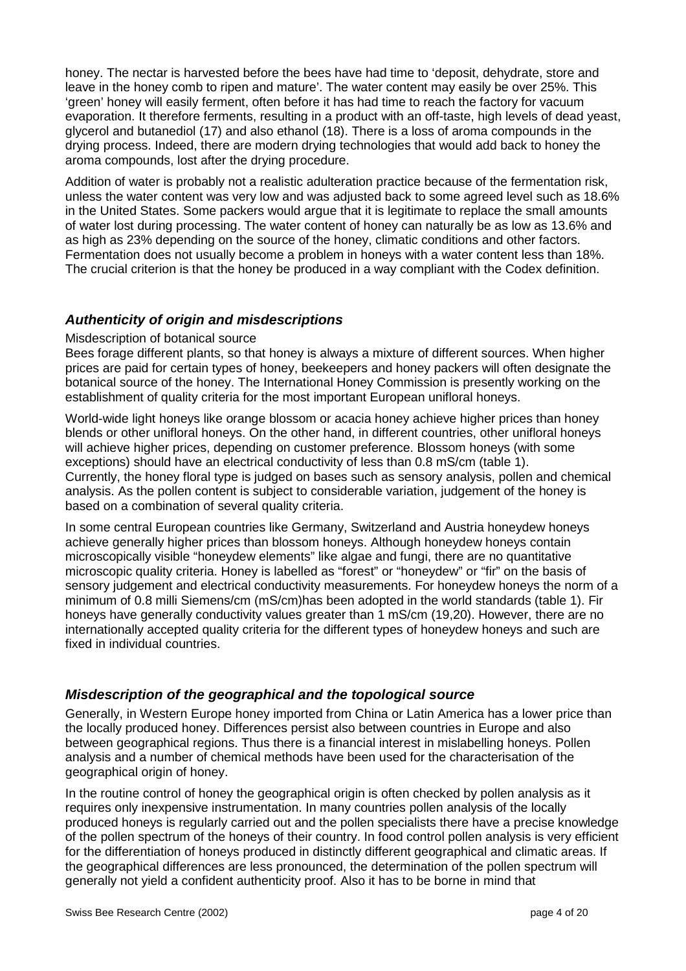honey. The nectar is harvested before the bees have had time to 'deposit, dehydrate, store and leave in the honey comb to ripen and mature'. The water content may easily be over 25%. This 'green' honey will easily ferment, often before it has had time to reach the factory for vacuum evaporation. It therefore ferments, resulting in a product with an off-taste, high levels of dead yeast, glycerol and butanediol (17) and also ethanol (18). There is a loss of aroma compounds in the drying process. Indeed, there are modern drying technologies that would add back to honey the aroma compounds, lost after the drying procedure.

Addition of water is probably not a realistic adulteration practice because of the fermentation risk, unless the water content was very low and was adjusted back to some agreed level such as 18.6% in the United States. Some packers would argue that it is legitimate to replace the small amounts of water lost during processing. The water content of honey can naturally be as low as 13.6% and as high as 23% depending on the source of the honey, climatic conditions and other factors. Fermentation does not usually become a problem in honeys with a water content less than 18%. The crucial criterion is that the honey be produced in a way compliant with the Codex definition.

## *Authenticity of origin and misdescriptions*

#### Misdescription of botanical source

Bees forage different plants, so that honey is always a mixture of different sources. When higher prices are paid for certain types of honey, beekeepers and honey packers will often designate the botanical source of the honey. The International Honey Commission is presently working on the establishment of quality criteria for the most important European unifloral honeys.

World-wide light honeys like orange blossom or acacia honey achieve higher prices than honey blends or other unifloral honeys. On the other hand, in different countries, other unifloral honeys will achieve higher prices, depending on customer preference. Blossom honeys (with some exceptions) should have an electrical conductivity of less than 0.8 mS/cm (table 1). Currently, the honey floral type is judged on bases such as sensory analysis, pollen and chemical analysis. As the pollen content is subject to considerable variation, judgement of the honey is based on a combination of several quality criteria.

In some central European countries like Germany, Switzerland and Austria honeydew honeys achieve generally higher prices than blossom honeys. Although honeydew honeys contain microscopically visible "honeydew elements" like algae and fungi, there are no quantitative microscopic quality criteria. Honey is labelled as "forest" or "honeydew" or "fir" on the basis of sensory judgement and electrical conductivity measurements. For honeydew honeys the norm of a minimum of 0.8 milli Siemens/cm (mS/cm)has been adopted in the world standards (table 1). Fir honeys have generally conductivity values greater than 1 mS/cm (19,20). However, there are no internationally accepted quality criteria for the different types of honeydew honeys and such are fixed in individual countries.

## *Misdescription of the geographical and the topological source*

Generally, in Western Europe honey imported from China or Latin America has a lower price than the locally produced honey. Differences persist also between countries in Europe and also between geographical regions. Thus there is a financial interest in mislabelling honeys. Pollen analysis and a number of chemical methods have been used for the characterisation of the geographical origin of honey.

In the routine control of honey the geographical origin is often checked by pollen analysis as it requires only inexpensive instrumentation. In many countries pollen analysis of the locally produced honeys is regularly carried out and the pollen specialists there have a precise knowledge of the pollen spectrum of the honeys of their country. In food control pollen analysis is very efficient for the differentiation of honeys produced in distinctly different geographical and climatic areas. If the geographical differences are less pronounced, the determination of the pollen spectrum will generally not yield a confident authenticity proof. Also it has to be borne in mind that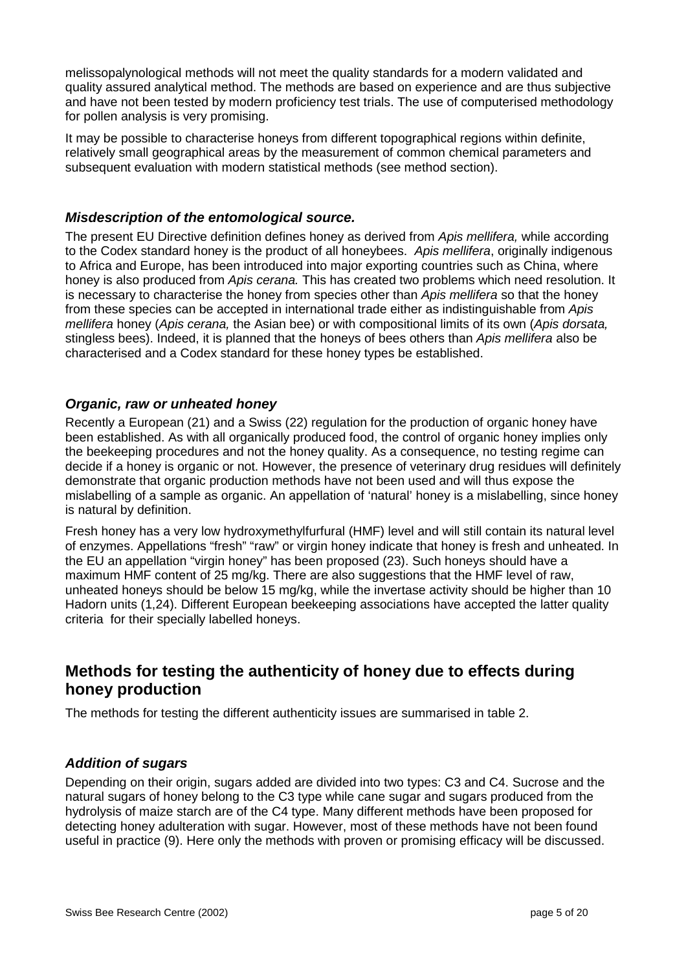melissopalynological methods will not meet the quality standards for a modern validated and quality assured analytical method. The methods are based on experience and are thus subjective and have not been tested by modern proficiency test trials. The use of computerised methodology for pollen analysis is very promising.

It may be possible to characterise honeys from different topographical regions within definite, relatively small geographical areas by the measurement of common chemical parameters and subsequent evaluation with modern statistical methods (see method section).

## *Misdescription of the entomological source.*

The present EU Directive definition defines honey as derived from *Apis mellifera,* while according to the Codex standard honey is the product of all honeybees. *Apis mellifera*, originally indigenous to Africa and Europe, has been introduced into major exporting countries such as China, where honey is also produced from *Apis cerana.* This has created two problems which need resolution. It is necessary to characterise the honey from species other than *Apis mellifera* so that the honey from these species can be accepted in international trade either as indistinguishable from *Apis mellifera* honey (*Apis cerana,* the Asian bee) or with compositional limits of its own (*Apis dorsata,* stingless bees). Indeed, it is planned that the honeys of bees others than *Apis mellifera* also be characterised and a Codex standard for these honey types be established.

## *Organic, raw or unheated honey*

Recently a European (21) and a Swiss (22) regulation for the production of organic honey have been established. As with all organically produced food, the control of organic honey implies only the beekeeping procedures and not the honey quality. As a consequence, no testing regime can decide if a honey is organic or not. However, the presence of veterinary drug residues will definitely demonstrate that organic production methods have not been used and will thus expose the mislabelling of a sample as organic. An appellation of 'natural' honey is a mislabelling, since honey is natural by definition.

Fresh honey has a very low hydroxymethylfurfural (HMF) level and will still contain its natural level of enzymes. Appellations "fresh" "raw" or virgin honey indicate that honey is fresh and unheated. In the EU an appellation "virgin honey" has been proposed (23). Such honeys should have a maximum HMF content of 25 mg/kg. There are also suggestions that the HMF level of raw. unheated honeys should be below 15 mg/kg, while the invertase activity should be higher than 10 Hadorn units (1,24). Different European beekeeping associations have accepted the latter quality criteria for their specially labelled honeys.

## **Methods for testing the authenticity of honey due to effects during honey production**

The methods for testing the different authenticity issues are summarised in table 2.

## *Addition of sugars*

Depending on their origin, sugars added are divided into two types: C3 and C4. Sucrose and the natural sugars of honey belong to the C3 type while cane sugar and sugars produced from the hydrolysis of maize starch are of the C4 type. Many different methods have been proposed for detecting honey adulteration with sugar. However, most of these methods have not been found useful in practice (9). Here only the methods with proven or promising efficacy will be discussed.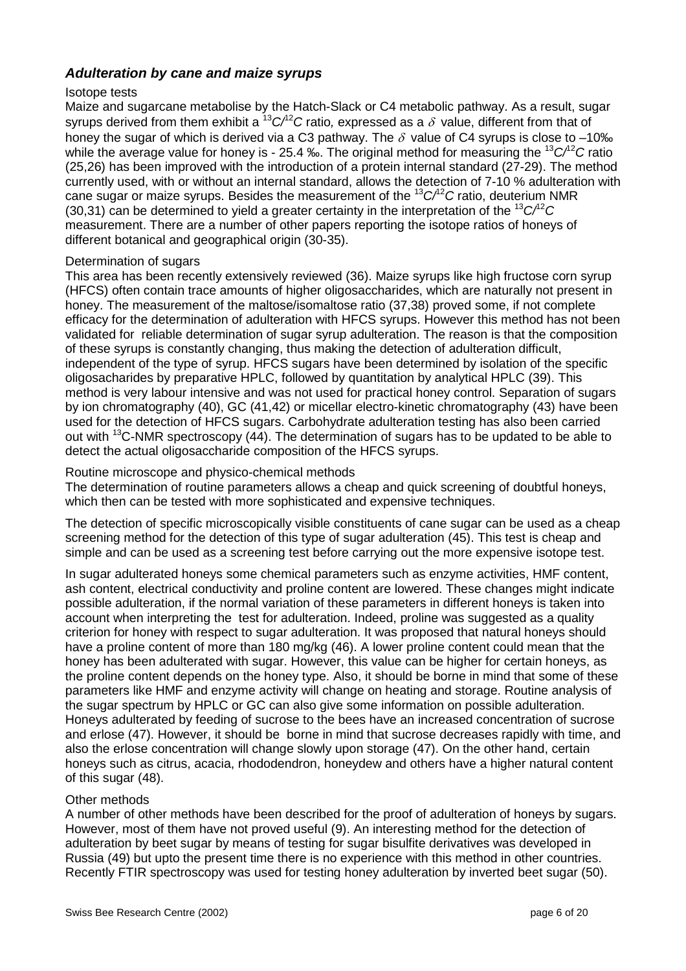## *Adulteration by cane and maize syrups*

#### Isotope tests

Maize and sugarcane metabolise by the Hatch-Slack or C4 metabolic pathway. As a result, sugar syrups derived from them exhibit a  ${}^{13}C/{}^{2}C$  ratio, expressed as a  $\delta$  value, different from that of honey the sugar of which is derived via a C3 pathway. The  $\delta$  value of C4 syrups is close to –10‰ while the average value for honey is - 25.4 ‰. The original method for measuring the <sup>13</sup>*C/*<sup>12</sup>*C* ratio (25,26) has been improved with the introduction of a protein internal standard (27-29). The method currently used, with or without an internal standard, allows the detection of 7-10 % adulteration with cane sugar or maize syrups. Besides the measurement of the <sup>13</sup>*C/*<sup>12</sup>*C* ratio, deuterium NMR (30,31) can be determined to yield a greater certainty in the interpretation of the <sup>13</sup>*C/*<sup>12</sup>*C* measurement. There are a number of other papers reporting the isotope ratios of honeys of different botanical and geographical origin (30-35).

#### Determination of sugars

This area has been recently extensively reviewed (36). Maize syrups like high fructose corn syrup (HFCS) often contain trace amounts of higher oligosaccharides, which are naturally not present in honey. The measurement of the maltose/isomaltose ratio (37,38) proved some, if not complete efficacy for the determination of adulteration with HFCS syrups. However this method has not been validated for reliable determination of sugar syrup adulteration. The reason is that the composition of these syrups is constantly changing, thus making the detection of adulteration difficult, independent of the type of syrup. HFCS sugars have been determined by isolation of the specific oligosacharides by preparative HPLC, followed by quantitation by analytical HPLC (39). This method is very labour intensive and was not used for practical honey control. Separation of sugars by ion chromatography (40), GC (41,42) or micellar electro-kinetic chromatography (43) have been used for the detection of HFCS sugars. Carbohydrate adulteration testing has also been carried out with  $13^{\circ}$ C-NMR spectroscopy (44). The determination of sugars has to be updated to be able to detect the actual oligosaccharide composition of the HFCS syrups.

## Routine microscope and physico-chemical methods

The determination of routine parameters allows a cheap and quick screening of doubtful honeys, which then can be tested with more sophisticated and expensive techniques.

The detection of specific microscopically visible constituents of cane sugar can be used as a cheap screening method for the detection of this type of sugar adulteration (45). This test is cheap and simple and can be used as a screening test before carrying out the more expensive isotope test.

In sugar adulterated honeys some chemical parameters such as enzyme activities, HMF content, ash content, electrical conductivity and proline content are lowered. These changes might indicate possible adulteration, if the normal variation of these parameters in different honeys is taken into account when interpreting the test for adulteration. Indeed, proline was suggested as a quality criterion for honey with respect to sugar adulteration. It was proposed that natural honeys should have a proline content of more than 180 mg/kg (46). A lower proline content could mean that the honey has been adulterated with sugar. However, this value can be higher for certain honeys, as the proline content depends on the honey type. Also, it should be borne in mind that some of these parameters like HMF and enzyme activity will change on heating and storage. Routine analysis of the sugar spectrum by HPLC or GC can also give some information on possible adulteration. Honeys adulterated by feeding of sucrose to the bees have an increased concentration of sucrose and erlose (47). However, it should be borne in mind that sucrose decreases rapidly with time, and also the erlose concentration will change slowly upon storage (47). On the other hand, certain honeys such as citrus, acacia, rhododendron, honeydew and others have a higher natural content of this sugar (48).

#### Other methods

A number of other methods have been described for the proof of adulteration of honeys by sugars. However, most of them have not proved useful (9). An interesting method for the detection of adulteration by beet sugar by means of testing for sugar bisulfite derivatives was developed in Russia (49) but upto the present time there is no experience with this method in other countries. Recently FTIR spectroscopy was used for testing honey adulteration by inverted beet sugar (50).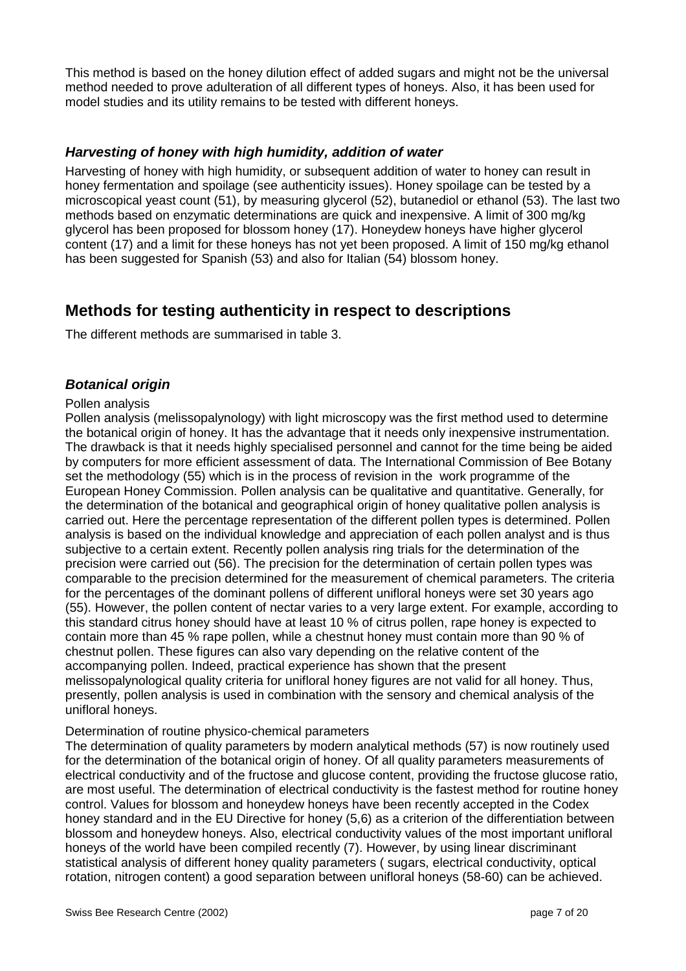This method is based on the honey dilution effect of added sugars and might not be the universal method needed to prove adulteration of all different types of honeys. Also, it has been used for model studies and its utility remains to be tested with different honeys.

## *Harvesting of honey with high humidity, addition of water*

Harvesting of honey with high humidity, or subsequent addition of water to honey can result in honey fermentation and spoilage (see authenticity issues). Honey spoilage can be tested by a microscopical yeast count (51), by measuring glycerol (52), butanediol or ethanol (53). The last two methods based on enzymatic determinations are quick and inexpensive. A limit of 300 mg/kg glycerol has been proposed for blossom honey (17). Honeydew honeys have higher glycerol content (17) and a limit for these honeys has not yet been proposed. A limit of 150 mg/kg ethanol has been suggested for Spanish (53) and also for Italian (54) blossom honey.

## **Methods for testing authenticity in respect to descriptions**

The different methods are summarised in table 3.

## *Botanical origin*

#### Pollen analysis

Pollen analysis (melissopalynology) with light microscopy was the first method used to determine the botanical origin of honey. It has the advantage that it needs only inexpensive instrumentation. The drawback is that it needs highly specialised personnel and cannot for the time being be aided by computers for more efficient assessment of data. The International Commission of Bee Botany set the methodology (55) which is in the process of revision in the work programme of the European Honey Commission. Pollen analysis can be qualitative and quantitative. Generally, for the determination of the botanical and geographical origin of honey qualitative pollen analysis is carried out. Here the percentage representation of the different pollen types is determined. Pollen analysis is based on the individual knowledge and appreciation of each pollen analyst and is thus subjective to a certain extent. Recently pollen analysis ring trials for the determination of the precision were carried out (56). The precision for the determination of certain pollen types was comparable to the precision determined for the measurement of chemical parameters. The criteria for the percentages of the dominant pollens of different unifloral honeys were set 30 years ago (55). However, the pollen content of nectar varies to a very large extent. For example, according to this standard citrus honey should have at least 10 % of citrus pollen, rape honey is expected to contain more than 45 % rape pollen, while a chestnut honey must contain more than 90 % of chestnut pollen. These figures can also vary depending on the relative content of the accompanying pollen. Indeed, practical experience has shown that the present melissopalynological quality criteria for unifloral honey figures are not valid for all honey. Thus, presently, pollen analysis is used in combination with the sensory and chemical analysis of the unifloral honeys.

#### Determination of routine physico-chemical parameters

The determination of quality parameters by modern analytical methods (57) is now routinely used for the determination of the botanical origin of honey. Of all quality parameters measurements of electrical conductivity and of the fructose and glucose content, providing the fructose glucose ratio, are most useful. The determination of electrical conductivity is the fastest method for routine honey control. Values for blossom and honeydew honeys have been recently accepted in the Codex honey standard and in the EU Directive for honey (5,6) as a criterion of the differentiation between blossom and honeydew honeys. Also, electrical conductivity values of the most important unifloral honeys of the world have been compiled recently (7). However, by using linear discriminant statistical analysis of different honey quality parameters ( sugars, electrical conductivity, optical rotation, nitrogen content) a good separation between unifloral honeys (58-60) can be achieved.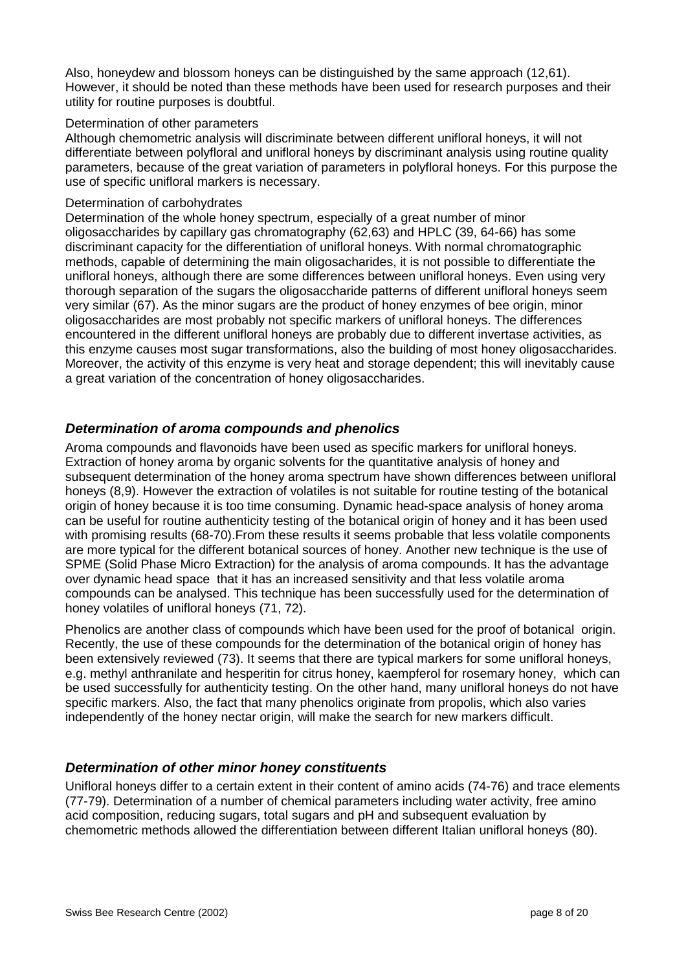Also, honeydew and blossom honeys can be distinguished by the same approach (12,61). However, it should be noted than these methods have been used for research purposes and their utility for routine purposes is doubtful.

#### Determination of other parameters

Although chemometric analysis will discriminate between different unifloral honeys, it will not differentiate between polyfloral and unifloral honeys by discriminant analysis using routine quality parameters, because of the great variation of parameters in polyfloral honeys. For this purpose the use of specific unifloral markers is necessary.

#### Determination of carbohydrates

Determination of the whole honey spectrum, especially of a great number of minor oligosaccharides by capillary gas chromatography (62,63) and HPLC (39, 64-66) has some discriminant capacity for the differentiation of unifloral honeys. With normal chromatographic methods, capable of determining the main oligosacharides, it is not possible to differentiate the unifloral honeys, although there are some differences between unifloral honeys. Even using very thorough separation of the sugars the oligosaccharide patterns of different unifloral honeys seem very similar (67). As the minor sugars are the product of honey enzymes of bee origin, minor oligosaccharides are most probably not specific markers of unifloral honeys. The differences encountered in the different unifloral honeys are probably due to different invertase activities, as this enzyme causes most sugar transformations, also the building of most honey oligosaccharides. Moreover, the activity of this enzyme is very heat and storage dependent; this will inevitably cause a great variation of the concentration of honey oligosaccharides.

## *Determination of aroma compounds and phenolics*

Aroma compounds and flavonoids have been used as specific markers for unifloral honeys. Extraction of honey aroma by organic solvents for the quantitative analysis of honey and subsequent determination of the honey aroma spectrum have shown differences between unifloral honeys (8,9). However the extraction of volatiles is not suitable for routine testing of the botanical origin of honey because it is too time consuming. Dynamic head-space analysis of honey aroma can be useful for routine authenticity testing of the botanical origin of honey and it has been used with promising results (68-70). From these results it seems probable that less volatile components are more typical for the different botanical sources of honey. Another new technique is the use of SPME (Solid Phase Micro Extraction) for the analysis of aroma compounds. It has the advantage over dynamic head space that it has an increased sensitivity and that less volatile aroma compounds can be analysed. This technique has been successfully used for the determination of honey volatiles of unifloral honeys (71, 72).

Phenolics are another class of compounds which have been used for the proof of botanical origin. Recently, the use of these compounds for the determination of the botanical origin of honey has been extensively reviewed (73). It seems that there are typical markers for some unifloral honeys, e.g. methyl anthranilate and hesperitin for citrus honey, kaempferol for rosemary honey, which can be used successfully for authenticity testing. On the other hand, many unifloral honeys do not have specific markers. Also, the fact that many phenolics originate from propolis, which also varies independently of the honey nectar origin, will make the search for new markers difficult.

## *Determination of other minor honey constituents*

Unifloral honeys differ to a certain extent in their content of amino acids (74-76) and trace elements (77-79). Determination of a number of chemical parameters including water activity, free amino acid composition, reducing sugars, total sugars and pH and subsequent evaluation by chemometric methods allowed the differentiation between different Italian unifloral honeys (80).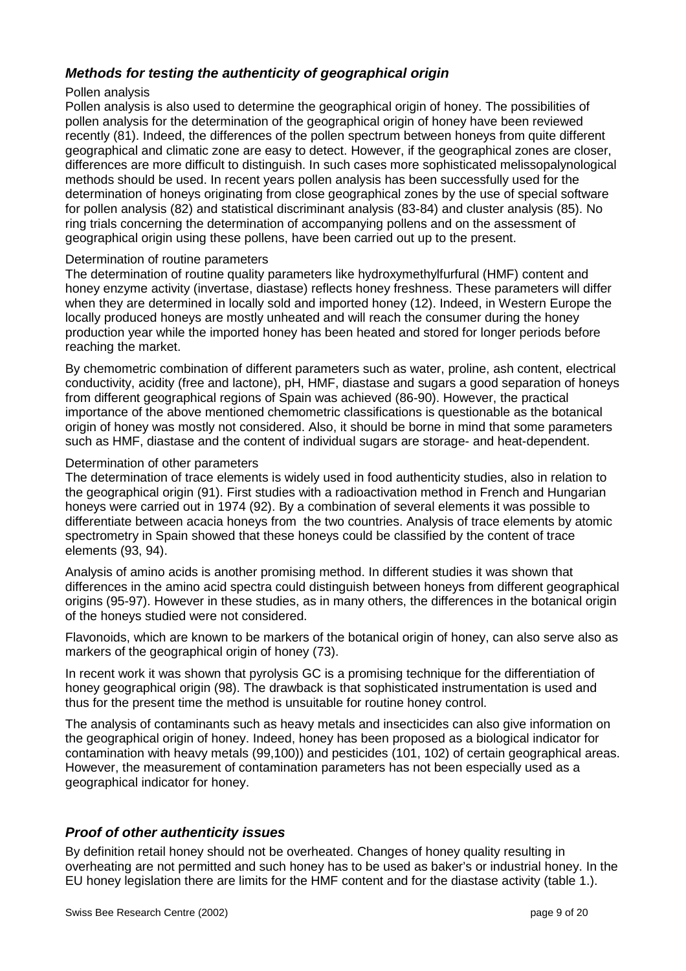## *Methods for testing the authenticity of geographical origin*

#### Pollen analysis

Pollen analysis is also used to determine the geographical origin of honey. The possibilities of pollen analysis for the determination of the geographical origin of honey have been reviewed recently (81). Indeed, the differences of the pollen spectrum between honeys from quite different geographical and climatic zone are easy to detect. However, if the geographical zones are closer, differences are more difficult to distinguish. In such cases more sophisticated melissopalynological methods should be used. In recent years pollen analysis has been successfully used for the determination of honeys originating from close geographical zones by the use of special software for pollen analysis (82) and statistical discriminant analysis (83-84) and cluster analysis (85). No ring trials concerning the determination of accompanying pollens and on the assessment of geographical origin using these pollens, have been carried out up to the present.

#### Determination of routine parameters

The determination of routine quality parameters like hydroxymethylfurfural (HMF) content and honey enzyme activity (invertase, diastase) reflects honey freshness. These parameters will differ when they are determined in locally sold and imported honey (12). Indeed, in Western Europe the locally produced honeys are mostly unheated and will reach the consumer during the honey production year while the imported honey has been heated and stored for longer periods before reaching the market.

By chemometric combination of different parameters such as water, proline, ash content, electrical conductivity, acidity (free and lactone), pH, HMF, diastase and sugars a good separation of honeys from different geographical regions of Spain was achieved (86-90). However, the practical importance of the above mentioned chemometric classifications is questionable as the botanical origin of honey was mostly not considered. Also, it should be borne in mind that some parameters such as HMF, diastase and the content of individual sugars are storage- and heat-dependent.

#### Determination of other parameters

The determination of trace elements is widely used in food authenticity studies, also in relation to the geographical origin (91). First studies with a radioactivation method in French and Hungarian honeys were carried out in 1974 (92). By a combination of several elements it was possible to differentiate between acacia honeys from the two countries. Analysis of trace elements by atomic spectrometry in Spain showed that these honeys could be classified by the content of trace elements (93, 94).

Analysis of amino acids is another promising method. In different studies it was shown that differences in the amino acid spectra could distinguish between honeys from different geographical origins (95-97). However in these studies, as in many others, the differences in the botanical origin of the honeys studied were not considered.

Flavonoids, which are known to be markers of the botanical origin of honey, can also serve also as markers of the geographical origin of honey (73).

In recent work it was shown that pyrolysis GC is a promising technique for the differentiation of honey geographical origin (98). The drawback is that sophisticated instrumentation is used and thus for the present time the method is unsuitable for routine honey control.

The analysis of contaminants such as heavy metals and insecticides can also give information on the geographical origin of honey. Indeed, honey has been proposed as a biological indicator for contamination with heavy metals (99,100)) and pesticides (101, 102) of certain geographical areas. However, the measurement of contamination parameters has not been especially used as a geographical indicator for honey.

## *Proof of other authenticity issues*

By definition retail honey should not be overheated. Changes of honey quality resulting in overheating are not permitted and such honey has to be used as baker's or industrial honey. In the EU honey legislation there are limits for the HMF content and for the diastase activity (table 1.).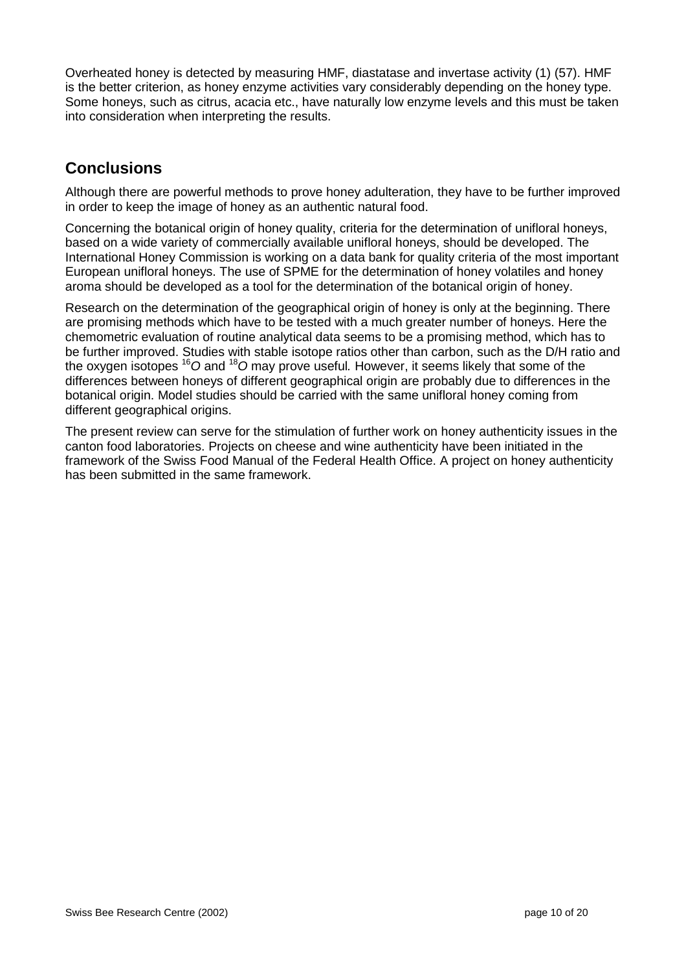Overheated honey is detected by measuring HMF, diastatase and invertase activity (1) (57). HMF is the better criterion, as honey enzyme activities vary considerably depending on the honey type. Some honeys, such as citrus, acacia etc., have naturally low enzyme levels and this must be taken into consideration when interpreting the results.

## **Conclusions**

Although there are powerful methods to prove honey adulteration, they have to be further improved in order to keep the image of honey as an authentic natural food.

Concerning the botanical origin of honey quality, criteria for the determination of unifloral honeys, based on a wide variety of commercially available unifloral honeys, should be developed. The International Honey Commission is working on a data bank for quality criteria of the most important European unifloral honeys. The use of SPME for the determination of honey volatiles and honey aroma should be developed as a tool for the determination of the botanical origin of honey.

Research on the determination of the geographical origin of honey is only at the beginning. There are promising methods which have to be tested with a much greater number of honeys. Here the chemometric evaluation of routine analytical data seems to be a promising method, which has to be further improved. Studies with stable isotope ratios other than carbon, such as the D/H ratio and the oxygen isotopes <sup>16</sup>*O* and <sup>18</sup>*O* may prove useful*.* However, it seems likely that some of the differences between honeys of different geographical origin are probably due to differences in the botanical origin. Model studies should be carried with the same unifloral honey coming from different geographical origins.

The present review can serve for the stimulation of further work on honey authenticity issues in the canton food laboratories. Projects on cheese and wine authenticity have been initiated in the framework of the Swiss Food Manual of the Federal Health Office. A project on honey authenticity has been submitted in the same framework.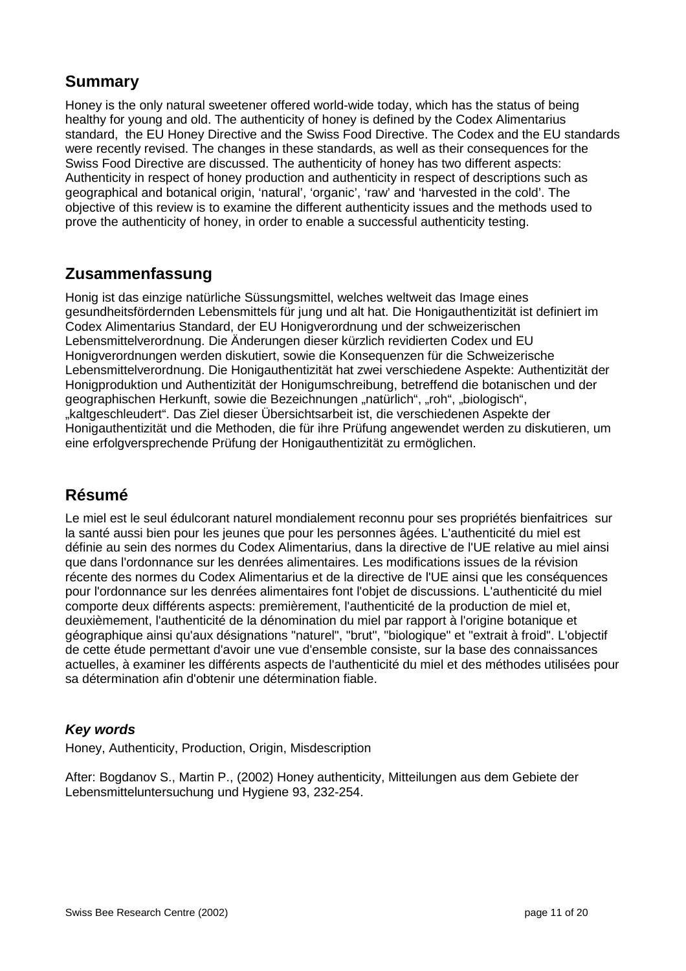## **Summary**

Honey is the only natural sweetener offered world-wide today, which has the status of being healthy for young and old. The authenticity of honey is defined by the Codex Alimentarius standard, the EU Honey Directive and the Swiss Food Directive. The Codex and the EU standards were recently revised. The changes in these standards, as well as their consequences for the Swiss Food Directive are discussed. The authenticity of honey has two different aspects: Authenticity in respect of honey production and authenticity in respect of descriptions such as geographical and botanical origin, 'natural', 'organic', 'raw' and 'harvested in the cold'. The objective of this review is to examine the different authenticity issues and the methods used to prove the authenticity of honey, in order to enable a successful authenticity testing.

## **Zusammenfassung**

Honig ist das einzige natürliche Süssungsmittel, welches weltweit das Image eines gesundheitsfördernden Lebensmittels für jung und alt hat. Die Honigauthentizität ist definiert im Codex Alimentarius Standard, der EU Honigverordnung und der schweizerischen Lebensmittelverordnung. Die Änderungen dieser kürzlich revidierten Codex und EU Honigverordnungen werden diskutiert, sowie die Konsequenzen für die Schweizerische Lebensmittelverordnung. Die Honigauthentizität hat zwei verschiedene Aspekte: Authentizität der Honigproduktion und Authentizität der Honigumschreibung, betreffend die botanischen und der geographischen Herkunft, sowie die Bezeichnungen "natürlich", "roh", "biologisch", "kaltgeschleudert". Das Ziel dieser Übersichtsarbeit ist, die verschiedenen Aspekte der Honigauthentizität und die Methoden, die für ihre Prüfung angewendet werden zu diskutieren, um eine erfolgversprechende Prüfung der Honigauthentizität zu ermöglichen.

## **Résumé**

Le miel est le seul édulcorant naturel mondialement reconnu pour ses propriétés bienfaitrices sur la santé aussi bien pour les jeunes que pour les personnes âgées. L'authenticité du miel est définie au sein des normes du Codex Alimentarius, dans la directive de l'UE relative au miel ainsi que dans l'ordonnance sur les denrées alimentaires. Les modifications issues de la révision récente des normes du Codex Alimentarius et de la directive de l'UE ainsi que les conséquences pour l'ordonnance sur les denrées alimentaires font l'objet de discussions. L'authenticité du miel comporte deux différents aspects: premièrement, l'authenticité de la production de miel et, deuxièmement, l'authenticité de la dénomination du miel par rapport à l'origine botanique et géographique ainsi qu'aux désignations "naturel", "brut", "biologique" et "extrait à froid". L'objectif de cette étude permettant d'avoir une vue d'ensemble consiste, sur la base des connaissances actuelles, à examiner les différents aspects de l'authenticité du miel et des méthodes utilisées pour sa détermination afin d'obtenir une détermination fiable.

## *Key words*

Honey, Authenticity, Production, Origin, Misdescription

After: Bogdanov S., Martin P., (2002) Honey authenticity, Mitteilungen aus dem Gebiete der Lebensmitteluntersuchung und Hygiene 93, 232-254.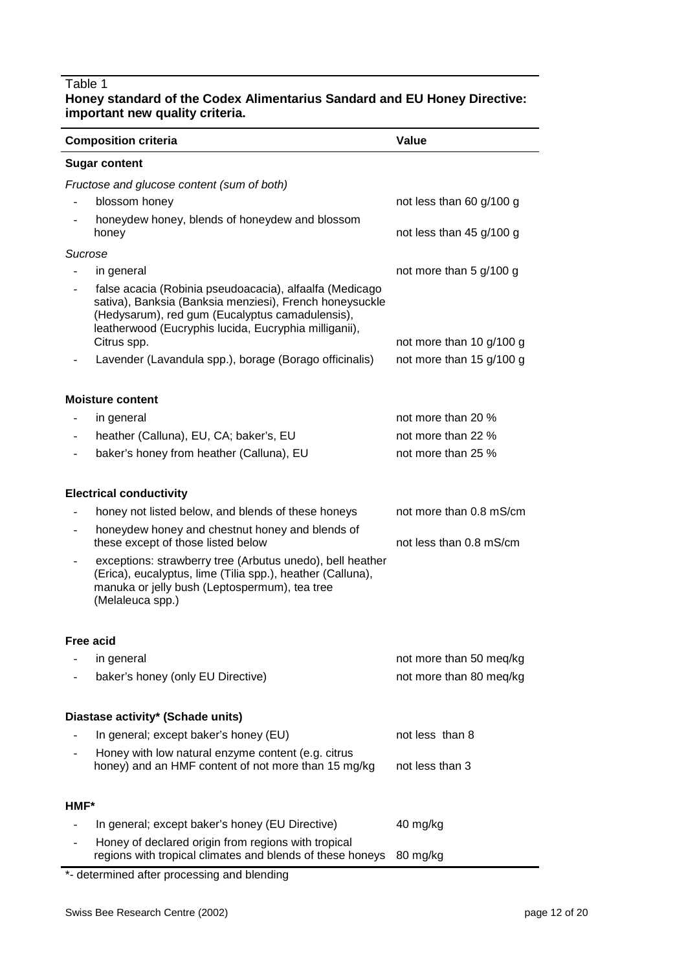## Table 1

#### **Honey standard of the Codex Alimentarius Sandard and EU Honey Directive: important new quality criteria.**

|                          | <b>Composition criteria</b>                                                                                                                                                                                                                   | Value                    |  |  |
|--------------------------|-----------------------------------------------------------------------------------------------------------------------------------------------------------------------------------------------------------------------------------------------|--------------------------|--|--|
| <b>Sugar content</b>     |                                                                                                                                                                                                                                               |                          |  |  |
|                          | Fructose and glucose content (sum of both)                                                                                                                                                                                                    |                          |  |  |
|                          | blossom honey                                                                                                                                                                                                                                 | not less than 60 g/100 g |  |  |
|                          | honeydew honey, blends of honeydew and blossom<br>honey                                                                                                                                                                                       | not less than 45 g/100 g |  |  |
| Sucrose                  |                                                                                                                                                                                                                                               |                          |  |  |
|                          | in general                                                                                                                                                                                                                                    | not more than 5 g/100 g  |  |  |
|                          | false acacia (Robinia pseudoacacia), alfaalfa (Medicago<br>sativa), Banksia (Banksia menziesi), French honeysuckle<br>(Hedysarum), red gum (Eucalyptus camadulensis),<br>leatherwood (Eucryphis lucida, Eucryphia milliganii),<br>Citrus spp. | not more than 10 g/100 g |  |  |
|                          | Lavender (Lavandula spp.), borage (Borago officinalis)                                                                                                                                                                                        | not more than 15 g/100 g |  |  |
|                          |                                                                                                                                                                                                                                               |                          |  |  |
|                          | <b>Moisture content</b>                                                                                                                                                                                                                       |                          |  |  |
|                          | in general                                                                                                                                                                                                                                    | not more than 20 %       |  |  |
|                          | heather (Calluna), EU, CA; baker's, EU                                                                                                                                                                                                        | not more than 22 %       |  |  |
|                          | baker's honey from heather (Calluna), EU                                                                                                                                                                                                      | not more than 25 %       |  |  |
|                          | <b>Electrical conductivity</b>                                                                                                                                                                                                                |                          |  |  |
| $\overline{\phantom{0}}$ | honey not listed below, and blends of these honeys                                                                                                                                                                                            | not more than 0.8 mS/cm  |  |  |
|                          | honeydew honey and chestnut honey and blends of<br>these except of those listed below                                                                                                                                                         | not less than 0.8 mS/cm  |  |  |
|                          | exceptions: strawberry tree (Arbutus unedo), bell heather<br>(Erica), eucalyptus, lime (Tilia spp.), heather (Calluna),<br>manuka or jelly bush (Leptospermum), tea tree<br>(Melaleuca spp.)                                                  |                          |  |  |
|                          | <b>Free acid</b>                                                                                                                                                                                                                              |                          |  |  |
|                          | in general                                                                                                                                                                                                                                    | not more than 50 meq/kg  |  |  |
|                          | baker's honey (only EU Directive)                                                                                                                                                                                                             | not more than 80 meq/kg  |  |  |
|                          | Diastase activity* (Schade units)                                                                                                                                                                                                             |                          |  |  |
|                          | In general; except baker's honey (EU)                                                                                                                                                                                                         | not less than 8          |  |  |
|                          | Honey with low natural enzyme content (e.g. citrus<br>honey) and an HMF content of not more than 15 mg/kg                                                                                                                                     | not less than 3          |  |  |
| <b>HMF*</b>              |                                                                                                                                                                                                                                               |                          |  |  |
|                          | In general; except baker's honey (EU Directive)                                                                                                                                                                                               | 40 mg/kg                 |  |  |
|                          | Honey of declared origin from regions with tropical<br>regions with tropical climates and blends of these honeys                                                                                                                              | 80 mg/kg                 |  |  |
|                          |                                                                                                                                                                                                                                               |                          |  |  |

\*- determined after processing and blending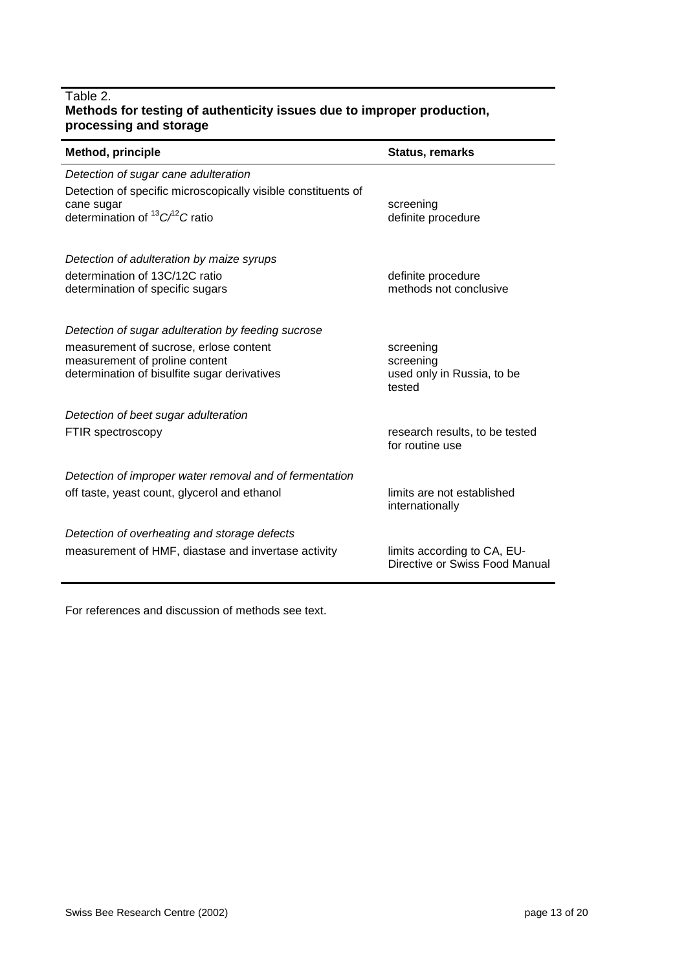### Table 2. **Methods for testing of authenticity issues due to improper production, processing and storage**

| <b>Method, principle</b>                                                                                                                                         | <b>Status, remarks</b>                       |
|------------------------------------------------------------------------------------------------------------------------------------------------------------------|----------------------------------------------|
| Detection of sugar cane adulteration<br>Detection of specific microscopically visible constituents of<br>cane sugar<br>determination of ${}^{13}C/{}^{2}C$ ratio | screening<br>definite procedure              |
| Detection of adulteration by maize syrups<br>determination of 13C/12C ratio<br>determination of specific sugars                                                  | definite procedure<br>methods not conclusive |
| Detection of sugar adulteration by feeding sucrose                                                                                                               | screening                                    |
| measurement of sucrose, erlose content                                                                                                                           | screening                                    |
| measurement of proline content                                                                                                                                   | used only in Russia, to be                   |
| determination of bisulfite sugar derivatives                                                                                                                     | tested                                       |
| Detection of beet sugar adulteration                                                                                                                             | research results, to be tested               |
| FTIR spectroscopy                                                                                                                                                | for routine use                              |
| Detection of improper water removal and of fermentation                                                                                                          | limits are not established                   |
| off taste, yeast count, glycerol and ethanol                                                                                                                     | internationally                              |
| Detection of overheating and storage defects                                                                                                                     | limits according to CA, EU-                  |
| measurement of HMF, diastase and invertase activity                                                                                                              | Directive or Swiss Food Manual               |

For references and discussion of methods see text.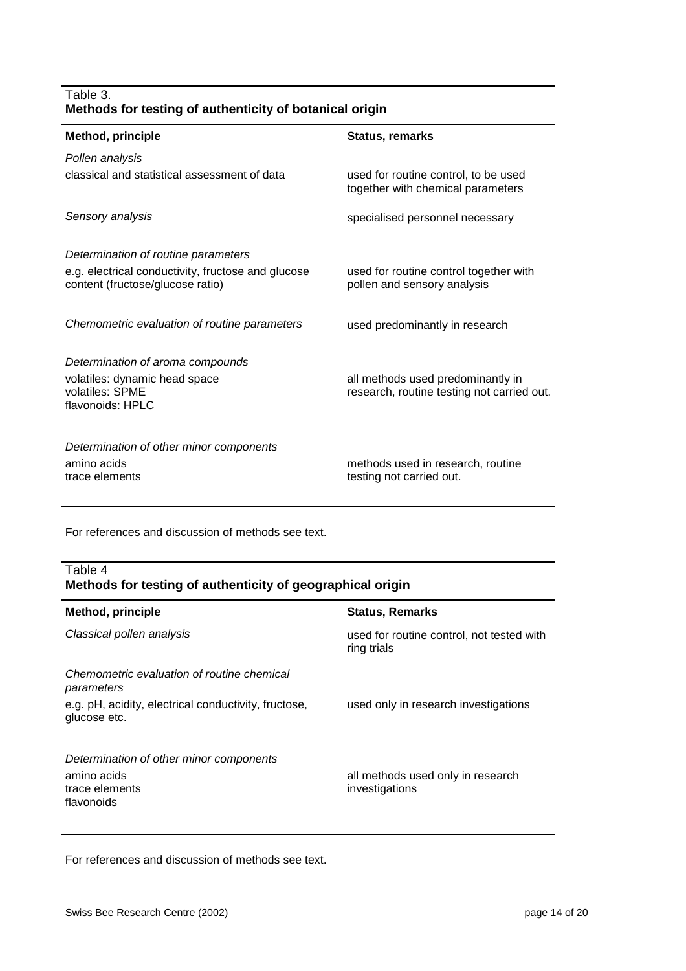| Table 3. |                                                         |  |
|----------|---------------------------------------------------------|--|
|          | Methods for testing of authenticity of botanical origin |  |

| <b>Method, principle</b>                                                               | <b>Status, remarks</b>                                                          |  |  |  |
|----------------------------------------------------------------------------------------|---------------------------------------------------------------------------------|--|--|--|
| Pollen analysis                                                                        |                                                                                 |  |  |  |
| classical and statistical assessment of data                                           | used for routine control, to be used<br>together with chemical parameters       |  |  |  |
| Sensory analysis                                                                       | specialised personnel necessary                                                 |  |  |  |
| Determination of routine parameters                                                    |                                                                                 |  |  |  |
| e.g. electrical conductivity, fructose and glucose<br>content (fructose/glucose ratio) | used for routine control together with<br>pollen and sensory analysis           |  |  |  |
| Chemometric evaluation of routine parameters                                           | used predominantly in research                                                  |  |  |  |
| Determination of aroma compounds                                                       |                                                                                 |  |  |  |
| volatiles: dynamic head space<br>volatiles: SPME<br>flavonoids: HPLC                   | all methods used predominantly in<br>research, routine testing not carried out. |  |  |  |
| Determination of other minor components                                                |                                                                                 |  |  |  |
| amino acids<br>trace elements                                                          | methods used in research, routine<br>testing not carried out.                   |  |  |  |

For references and discussion of methods see text.

#### Table 4 **Methods for testing of authenticity of geographical origin**

| <b>Method, principle</b>                                                               | <b>Status, Remarks</b>                                   |
|----------------------------------------------------------------------------------------|----------------------------------------------------------|
| Classical pollen analysis                                                              | used for routine control, not tested with<br>ring trials |
| Chemometric evaluation of routine chemical<br>parameters                               |                                                          |
| e.g. pH, acidity, electrical conductivity, fructose,<br>glucose etc.                   | used only in research investigations                     |
| Determination of other minor components<br>amino acids<br>trace elements<br>flavonoids | all methods used only in research<br>investigations      |

For references and discussion of methods see text.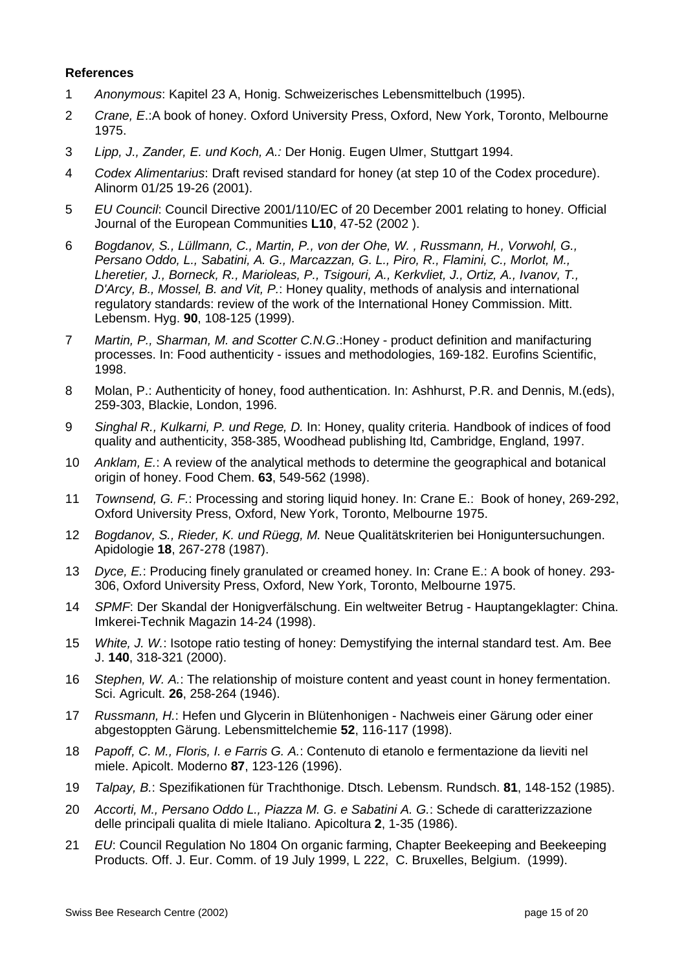#### **References**

- 1 *Anonymous*: Kapitel 23 A, Honig. Schweizerisches Lebensmittelbuch (1995).
- 2 *Crane, E*.:A book of honey. Oxford University Press, Oxford, New York, Toronto, Melbourne 1975.
- 3 *Lipp, J., Zander, E. und Koch, A.:* Der Honig. Eugen Ulmer, Stuttgart 1994.
- 4 *Codex Alimentarius*: Draft revised standard for honey (at step 10 of the Codex procedure). Alinorm 01/25 19-26 (2001).
- 5 *EU Council*: Council Directive 2001/110/EC of 20 December 2001 relating to honey. Official Journal of the European Communities **L10**, 47-52 (2002 ).
- 6 *Bogdanov, S., Lüllmann, C., Martin, P., von der Ohe, W. , Russmann, H., Vorwohl, G., Persano Oddo, L., Sabatini, A. G., Marcazzan, G. L., Piro, R., Flamini, C., Morlot, M., Lheretier, J., Borneck, R., Marioleas, P., Tsigouri, A., Kerkvliet, J., Ortiz, A., Ivanov, T., D'Arcy, B., Mossel, B. and Vit, P.*: Honey quality, methods of analysis and international regulatory standards: review of the work of the International Honey Commission. Mitt. Lebensm. Hyg. **90**, 108-125 (1999).
- 7 *Martin, P., Sharman, M. and Scotter C.N.G*.:Honey product definition and manifacturing processes. In: Food authenticity - issues and methodologies, 169-182. Eurofins Scientific, 1998.
- 8 Molan, P.: Authenticity of honey, food authentication. In: Ashhurst, P.R. and Dennis, M.(eds), 259-303, Blackie, London, 1996.
- 9 *Singhal R., Kulkarni, P. und Rege, D.* In: Honey, quality criteria. Handbook of indices of food quality and authenticity, 358-385, Woodhead publishing ltd, Cambridge, England, 1997.
- 10 *Anklam, E.*: A review of the analytical methods to determine the geographical and botanical origin of honey. Food Chem. **63**, 549-562 (1998).
- 11 *Townsend, G. F.*: Processing and storing liquid honey. In: Crane E.: Book of honey, 269-292, Oxford University Press, Oxford, New York, Toronto, Melbourne 1975.
- 12 *Bogdanov, S., Rieder, K. und Rüegg, M.* Neue Qualitätskriterien bei Honiguntersuchungen. Apidologie **18**, 267-278 (1987).
- 13 *Dyce, E.*: Producing finely granulated or creamed honey. In: Crane E.: A book of honey. 293- 306, Oxford University Press, Oxford, New York, Toronto, Melbourne 1975.
- 14 *SPMF*: Der Skandal der Honigverfälschung. Ein weltweiter Betrug Hauptangeklagter: China. Imkerei-Technik Magazin 14-24 (1998).
- 15 *White, J. W.*: Isotope ratio testing of honey: Demystifying the internal standard test. Am. Bee J. **140**, 318-321 (2000).
- 16 *Stephen, W. A.*: The relationship of moisture content and yeast count in honey fermentation. Sci. Agricult. **26**, 258-264 (1946).
- 17 *Russmann, H.*: Hefen und Glycerin in Blütenhonigen Nachweis einer Gärung oder einer abgestoppten Gärung. Lebensmittelchemie **52**, 116-117 (1998).
- 18 *Papoff, C. M., Floris, I. e Farris G. A.*: Contenuto di etanolo e fermentazione da lieviti nel miele. Apicolt. Moderno **87**, 123-126 (1996).
- 19 *Talpay, B.*: Spezifikationen für Trachthonige. Dtsch. Lebensm. Rundsch. **81**, 148-152 (1985).
- 20 *Accorti, M., Persano Oddo L., Piazza M. G. e Sabatini A. G.*: Schede di caratterizzazione delle principali qualita di miele Italiano. Apicoltura **2**, 1-35 (1986).
- 21 *EU*: Council Regulation No 1804 On organic farming, Chapter Beekeeping and Beekeeping Products. Off. J. Eur. Comm. of 19 July 1999, L 222, C. Bruxelles, Belgium. (1999).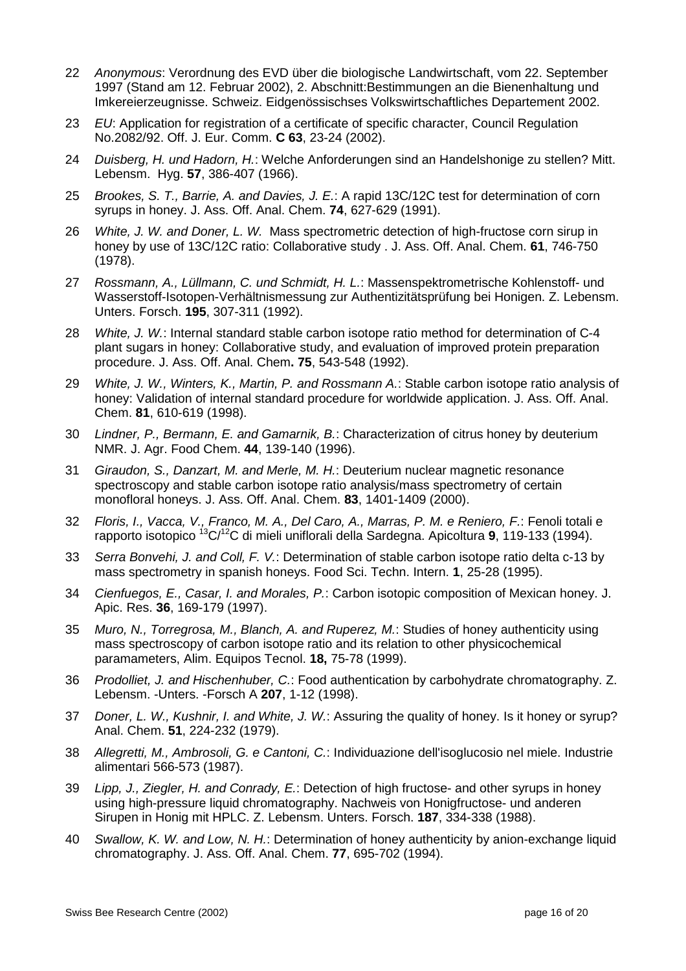- 22 *Anonymous*: Verordnung des EVD über die biologische Landwirtschaft, vom 22. September 1997 (Stand am 12. Februar 2002), 2. Abschnitt:Bestimmungen an die Bienenhaltung und Imkereierzeugnisse. Schweiz. Eidgenössischses Volkswirtschaftliches Departement 2002.
- 23 *EU*: Application for registration of a certificate of specific character, Council Regulation No.2082/92. Off. J. Eur. Comm. **C 63**, 23-24 (2002).
- 24 *Duisberg, H. und Hadorn, H.*: Welche Anforderungen sind an Handelshonige zu stellen? Mitt. Lebensm. Hyg. **57**, 386-407 (1966).
- 25 *Brookes, S. T., Barrie, A. and Davies, J. E.*: A rapid 13C/12C test for determination of corn syrups in honey. J. Ass. Off. Anal. Chem. **74**, 627-629 (1991).
- 26 *White, J. W. and Doner, L. W.* Mass spectrometric detection of high-fructose corn sirup in honey by use of 13C/12C ratio: Collaborative study . J. Ass. Off. Anal. Chem. **61**, 746-750 (1978).
- 27 *Rossmann, A., Lüllmann, C. und Schmidt, H. L.*: Massenspektrometrische Kohlenstoff- und Wasserstoff-Isotopen-Verhältnismessung zur Authentizitätsprüfung bei Honigen. Z. Lebensm. Unters. Forsch. **195**, 307-311 (1992).
- 28 *White, J. W.*: Internal standard stable carbon isotope ratio method for determination of C-4 plant sugars in honey: Collaborative study, and evaluation of improved protein preparation procedure. J. Ass. Off. Anal. Chem**. 75**, 543-548 (1992).
- 29 *White, J. W., Winters, K., Martin, P. and Rossmann A.*: Stable carbon isotope ratio analysis of honey: Validation of internal standard procedure for worldwide application. J. Ass. Off. Anal. Chem. **81**, 610-619 (1998).
- 30 *Lindner, P., Bermann, E. and Gamarnik, B.*: Characterization of citrus honey by deuterium NMR. J. Agr. Food Chem. **44**, 139-140 (1996).
- 31 *Giraudon, S., Danzart, M. and Merle, M. H.*: Deuterium nuclear magnetic resonance spectroscopy and stable carbon isotope ratio analysis/mass spectrometry of certain monofloral honeys. J. Ass. Off. Anal. Chem. **83**, 1401-1409 (2000).
- 32 *Floris, I., Vacca, V., Franco, M. A., Del Caro, A., Marras, P. M. e Reniero, F.*: Fenoli totali e rapporto isotopico 13C/12C di mieli uniflorali della Sardegna. Apicoltura **9**, 119-133 (1994).
- 33 *Serra Bonvehi, J. and Coll, F. V.*: Determination of stable carbon isotope ratio delta c-13 by mass spectrometry in spanish honeys. Food Sci. Techn. Intern. **1**, 25-28 (1995).
- 34 *Cienfuegos, E., Casar, I. and Morales, P.*: Carbon isotopic composition of Mexican honey. J. Apic. Res. **36**, 169-179 (1997).
- 35 *Muro, N., Torregrosa, M., Blanch, A. and Ruperez, M.*: Studies of honey authenticity using mass spectroscopy of carbon isotope ratio and its relation to other physicochemical paramameters, Alim. Equipos Tecnol. **18,** 75-78 (1999).
- 36 *Prodolliet, J. and Hischenhuber, C.*: Food authentication by carbohydrate chromatography. Z. Lebensm. -Unters. -Forsch A **207**, 1-12 (1998).
- 37 *Doner, L. W., Kushnir, I. and White, J. W.*: Assuring the quality of honey. Is it honey or syrup? Anal. Chem. **51**, 224-232 (1979).
- 38 *Allegretti, M., Ambrosoli, G. e Cantoni, C.*: Individuazione dell'isoglucosio nel miele. Industrie alimentari 566-573 (1987).
- 39 *Lipp, J., Ziegler, H. and Conrady, E.*: Detection of high fructose- and other syrups in honey using high-pressure liquid chromatography. Nachweis von Honigfructose- und anderen Sirupen in Honig mit HPLC. Z. Lebensm. Unters. Forsch. **187**, 334-338 (1988).
- 40 *Swallow, K. W. and Low, N. H.*: Determination of honey authenticity by anion-exchange liquid chromatography. J. Ass. Off. Anal. Chem. **77**, 695-702 (1994).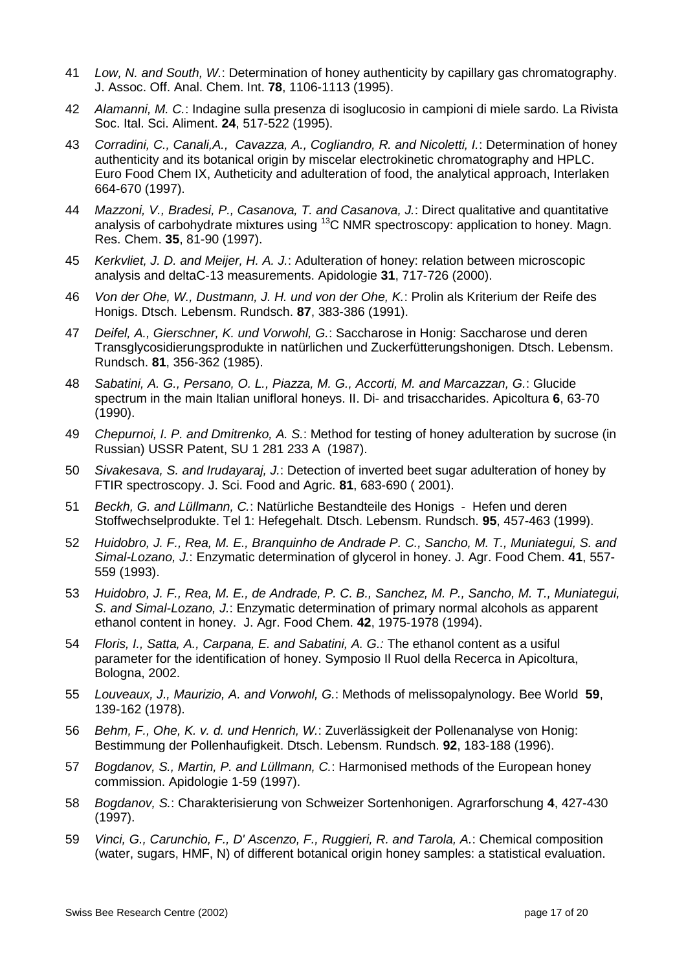- 41 *Low, N. and South, W.*: Determination of honey authenticity by capillary gas chromatography. J. Assoc. Off. Anal. Chem. Int. **78**, 1106-1113 (1995).
- 42 *Alamanni, M. C.*: Indagine sulla presenza di isoglucosio in campioni di miele sardo. La Rivista Soc. Ital. Sci. Aliment. **24**, 517-522 (1995).
- 43 *Corradini, C., Canali,A., Cavazza, A., Cogliandro, R. and Nicoletti, I.*: Determination of honey authenticity and its botanical origin by miscelar electrokinetic chromatography and HPLC. Euro Food Chem IX, Autheticity and adulteration of food, the analytical approach, Interlaken 664-670 (1997).
- 44 *Mazzoni, V., Bradesi, P., Casanova, T. and Casanova, J.*: Direct qualitative and quantitative analysis of carbohydrate mixtures using <sup>13</sup>C NMR spectroscopy: application to honey. Magn. Res. Chem. **35**, 81-90 (1997).
- 45 *Kerkvliet, J. D. and Meijer, H. A. J.*: Adulteration of honey: relation between microscopic analysis and deltaC-13 measurements. Apidologie **31**, 717-726 (2000).
- 46 *Von der Ohe, W., Dustmann, J. H. und von der Ohe, K.*: Prolin als Kriterium der Reife des Honigs. Dtsch. Lebensm. Rundsch. **87**, 383-386 (1991).
- 47 *Deifel, A., Gierschner, K. und Vorwohl, G.*: Saccharose in Honig: Saccharose und deren Transglycosidierungsprodukte in natürlichen und Zuckerfütterungshonigen. Dtsch. Lebensm. Rundsch. **81**, 356-362 (1985).
- 48 *Sabatini, A. G., Persano, O. L., Piazza, M. G., Accorti, M. and Marcazzan, G.*: Glucide spectrum in the main Italian unifloral honeys. II. Di- and trisaccharides. Apicoltura **6**, 63-70 (1990).
- 49 *Chepurnoi, I. P. and Dmitrenko, A. S.*: Method for testing of honey adulteration by sucrose (in Russian) USSR Patent, SU 1 281 233 A (1987).
- 50 *Sivakesava, S. and Irudayaraj, J.*: Detection of inverted beet sugar adulteration of honey by FTIR spectroscopy. J. Sci. Food and Agric. **81**, 683-690 ( 2001).
- 51 *Beckh, G. and Lüllmann, C.*: Natürliche Bestandteile des Honigs Hefen und deren Stoffwechselprodukte. Tel 1: Hefegehalt. Dtsch. Lebensm. Rundsch. **95**, 457-463 (1999).
- 52 *Huidobro, J. F., Rea, M. E., Branquinho de Andrade P. C., Sancho, M. T., Muniategui, S. and Simal-Lozano, J.*: Enzymatic determination of glycerol in honey. J. Agr. Food Chem. **41**, 557- 559 (1993).
- 53 *Huidobro, J. F., Rea, M. E., de Andrade, P. C. B., Sanchez, M. P., Sancho, M. T., Muniategui, S. and Simal-Lozano, J.*: Enzymatic determination of primary normal alcohols as apparent ethanol content in honey. J. Agr. Food Chem. **42**, 1975-1978 (1994).
- 54 *Floris, I., Satta, A., Carpana, E. and Sabatini, A. G.:* The ethanol content as a usiful parameter for the identification of honey. Symposio Il Ruol della Recerca in Apicoltura, Bologna, 2002.
- 55 *Louveaux, J., Maurizio, A. and Vorwohl, G.*: Methods of melissopalynology. Bee World **59**, 139-162 (1978).
- 56 *Behm, F., Ohe, K. v. d. und Henrich, W.*: Zuverlässigkeit der Pollenanalyse von Honig: Bestimmung der Pollenhaufigkeit. Dtsch. Lebensm. Rundsch. **92**, 183-188 (1996).
- 57 *Bogdanov, S., Martin, P. and Lüllmann, C.*: Harmonised methods of the European honey commission. Apidologie 1-59 (1997).
- 58 *Bogdanov, S.*: Charakterisierung von Schweizer Sortenhonigen. Agrarforschung **4**, 427-430 (1997).
- 59 *Vinci, G., Carunchio, F., D' Ascenzo, F., Ruggieri, R. and Tarola, A.*: Chemical composition (water, sugars, HMF, N) of different botanical origin honey samples: a statistical evaluation.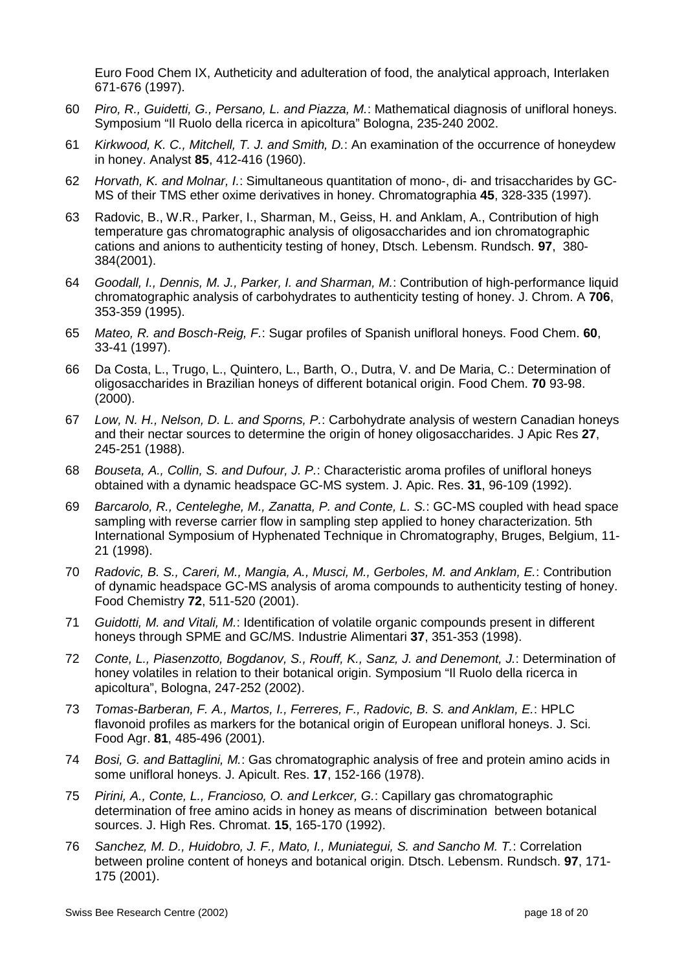Euro Food Chem IX, Autheticity and adulteration of food, the analytical approach, Interlaken 671-676 (1997).

- 60 *Piro, R., Guidetti, G., Persano, L. and Piazza, M.*: Mathematical diagnosis of unifloral honeys. Symposium "Il Ruolo della ricerca in apicoltura" Bologna, 235-240 2002.
- 61 *Kirkwood, K. C., Mitchell, T. J. and Smith, D.*: An examination of the occurrence of honeydew in honey. Analyst **85**, 412-416 (1960).
- 62 *Horvath, K. and Molnar, I.*: Simultaneous quantitation of mono-, di- and trisaccharides by GC-MS of their TMS ether oxime derivatives in honey. Chromatographia **45**, 328-335 (1997).
- 63 Radovic, B., W.R., Parker, I., Sharman, M., Geiss, H. and Anklam, A., Contribution of high temperature gas chromatographic analysis of oligosaccharides and ion chromatographic cations and anions to authenticity testing of honey, Dtsch. Lebensm. Rundsch. **97**, 380- 384(2001).
- 64 *Goodall, I., Dennis, M. J., Parker, I. and Sharman, M.*: Contribution of high-performance liquid chromatographic analysis of carbohydrates to authenticity testing of honey. J. Chrom. A **706**, 353-359 (1995).
- 65 *Mateo, R. and Bosch-Reig, F.*: Sugar profiles of Spanish unifloral honeys. Food Chem. **60**, 33-41 (1997).
- 66 Da Costa, L., Trugo, L., Quintero, L., Barth, O., Dutra, V. and De Maria, C.: Determination of oligosaccharides in Brazilian honeys of different botanical origin. Food Chem. **70** 93-98. (2000).
- 67 *Low, N. H., Nelson, D. L. and Sporns, P.*: Carbohydrate analysis of western Canadian honeys and their nectar sources to determine the origin of honey oligosaccharides. J Apic Res **27**, 245-251 (1988).
- 68 *Bouseta, A., Collin, S. and Dufour, J. P.*: Characteristic aroma profiles of unifloral honeys obtained with a dynamic headspace GC-MS system. J. Apic. Res. **31**, 96-109 (1992).
- 69 *Barcarolo, R., Centeleghe, M., Zanatta, P. and Conte, L. S.*: GC-MS coupled with head space sampling with reverse carrier flow in sampling step applied to honey characterization. 5th International Symposium of Hyphenated Technique in Chromatography, Bruges, Belgium, 11- 21 (1998).
- 70 *Radovic, B. S., Careri, M., Mangia, A., Musci, M., Gerboles, M. and Anklam, E.*: Contribution of dynamic headspace GC-MS analysis of aroma compounds to authenticity testing of honey. Food Chemistry **72**, 511-520 (2001).
- 71 *Guidotti, M. and Vitali, M.*: Identification of volatile organic compounds present in different honeys through SPME and GC/MS. Industrie Alimentari **37**, 351-353 (1998).
- 72 *Conte, L., Piasenzotto, Bogdanov, S., Rouff, K., Sanz, J. and Denemont, J.*: Determination of honey volatiles in relation to their botanical origin. Symposium "Il Ruolo della ricerca in apicoltura", Bologna, 247-252 (2002).
- 73 *Tomas-Barberan, F. A., Martos, I., Ferreres, F., Radovic, B. S. and Anklam, E.*: HPLC flavonoid profiles as markers for the botanical origin of European unifloral honeys. J. Sci. Food Agr. **81**, 485-496 (2001).
- 74 *Bosi, G. and Battaglini, M.*: Gas chromatographic analysis of free and protein amino acids in some unifloral honeys. J. Apicult. Res. **17**, 152-166 (1978).
- 75 *Pirini, A., Conte, L., Francioso, O. and Lerkcer, G.*: Capillary gas chromatographic determination of free amino acids in honey as means of discrimination between botanical sources. J. High Res. Chromat. **15**, 165-170 (1992).
- 76 *Sanchez, M. D., Huidobro, J. F., Mato, I., Muniategui, S. and Sancho M. T.*: Correlation between proline content of honeys and botanical origin. Dtsch. Lebensm. Rundsch. **97**, 171- 175 (2001).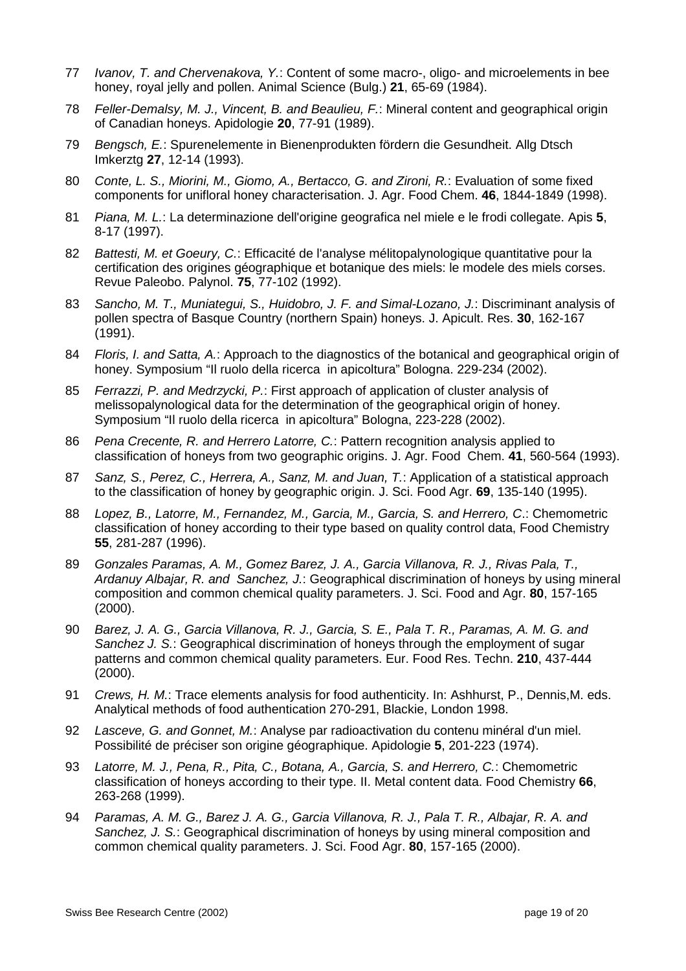- 77 *Ivanov, T. and Chervenakova, Y.*: Content of some macro-, oligo- and microelements in bee honey, royal jelly and pollen. Animal Science (Bulg.) **21**, 65-69 (1984).
- 78 *Feller-Demalsy, M. J., Vincent, B. and Beaulieu, F.*: Mineral content and geographical origin of Canadian honeys. Apidologie **20**, 77-91 (1989).
- 79 *Bengsch, E.*: Spurenelemente in Bienenprodukten fördern die Gesundheit. Allg Dtsch Imkerztg **27**, 12-14 (1993).
- 80 *Conte, L. S., Miorini, M., Giomo, A., Bertacco, G. and Zironi, R.*: Evaluation of some fixed components for unifloral honey characterisation. J. Agr. Food Chem. **46**, 1844-1849 (1998).
- 81 *Piana, M. L.*: La determinazione dell'origine geografica nel miele e le frodi collegate. Apis **5**, 8-17 (1997).
- 82 *Battesti, M. et Goeury, C.*: Efficacité de l'analyse mélitopalynologique quantitative pour la certification des origines géographique et botanique des miels: le modele des miels corses. Revue Paleobo. Palynol. **75**, 77-102 (1992).
- 83 *Sancho, M. T., Muniategui, S., Huidobro, J. F. and Simal-Lozano, J.*: Discriminant analysis of pollen spectra of Basque Country (northern Spain) honeys. J. Apicult. Res. **30**, 162-167 (1991).
- 84 *Floris, I. and Satta, A.*: Approach to the diagnostics of the botanical and geographical origin of honey. Symposium "Il ruolo della ricerca in apicoltura" Bologna. 229-234 (2002).
- 85 *Ferrazzi, P. and Medrzycki, P.*: First approach of application of cluster analysis of melissopalynological data for the determination of the geographical origin of honey. Symposium "Il ruolo della ricerca in apicoltura" Bologna, 223-228 (2002).
- 86 *Pena Crecente, R. and Herrero Latorre, C.*: Pattern recognition analysis applied to classification of honeys from two geographic origins. J. Agr. Food Chem. **41**, 560-564 (1993).
- 87 *Sanz, S., Perez, C., Herrera, A., Sanz, M. and Juan, T.*: Application of a statistical approach to the classification of honey by geographic origin. J. Sci. Food Agr. **69**, 135-140 (1995).
- 88 *Lopez, B., Latorre, M., Fernandez, M., Garcia, M., Garcia, S. and Herrero, C*.: Chemometric classification of honey according to their type based on quality control data, Food Chemistry **55**, 281-287 (1996).
- 89 *Gonzales Paramas, A. M., Gomez Barez, J. A., Garcia Villanova, R. J., Rivas Pala, T., Ardanuy Albajar, R. and Sanchez, J.*: Geographical discrimination of honeys by using mineral composition and common chemical quality parameters. J. Sci. Food and Agr. **80**, 157-165 (2000).
- 90 *Barez, J. A. G., Garcia Villanova, R. J., Garcia, S. E., Pala T. R., Paramas, A. M. G. and Sanchez J. S.*: Geographical discrimination of honeys through the employment of sugar patterns and common chemical quality parameters. Eur. Food Res. Techn. **210**, 437-444 (2000).
- 91 *Crews, H. M.*: Trace elements analysis for food authenticity. In: Ashhurst, P., Dennis,M. eds. Analytical methods of food authentication 270-291, Blackie, London 1998.
- 92 *Lasceve, G. and Gonnet, M.*: Analyse par radioactivation du contenu minéral d'un miel. Possibilité de préciser son origine géographique. Apidologie **5**, 201-223 (1974).
- 93 *Latorre, M. J., Pena, R., Pita, C., Botana, A., Garcia, S. and Herrero, C.*: Chemometric classification of honeys according to their type. II. Metal content data. Food Chemistry **66**, 263-268 (1999).
- 94 *Paramas, A. M. G., Barez J. A. G., Garcia Villanova, R. J., Pala T. R., Albajar, R. A. and Sanchez, J. S.*: Geographical discrimination of honeys by using mineral composition and common chemical quality parameters. J. Sci. Food Agr. **80**, 157-165 (2000).